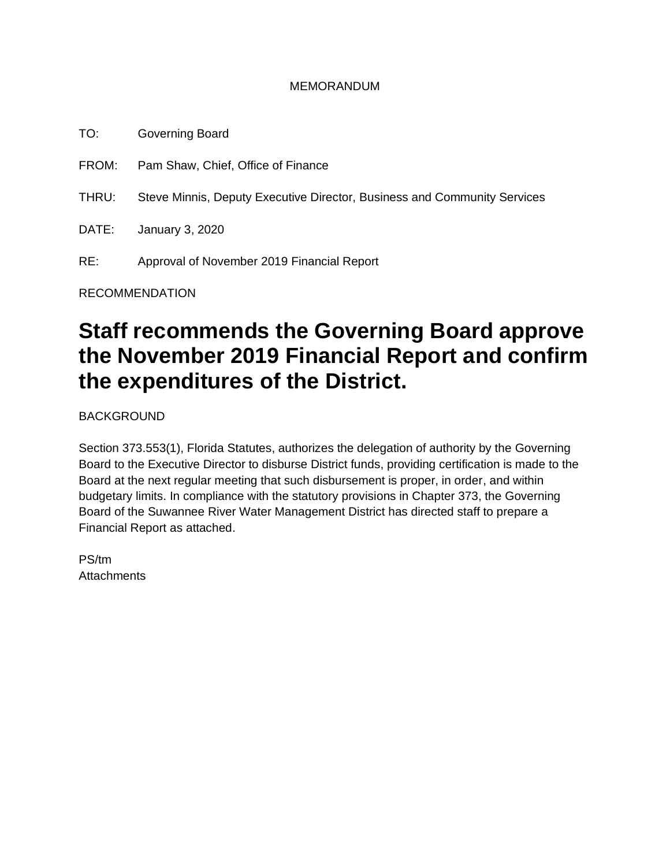#### MEMORANDUM

TO: Governing Board FROM: Pam Shaw, Chief, Office of Finance THRU: Steve Minnis, Deputy Executive Director, Business and Community Services DATE: January 3, 2020 RE: Approval of November 2019 Financial Report

RECOMMENDATION

# **Staff recommends the Governing Board approve the November 2019 Financial Report and confirm the expenditures of the District.**

BACKGROUND

Section 373.553(1), Florida Statutes, authorizes the delegation of authority by the Governing Board to the Executive Director to disburse District funds, providing certification is made to the Board at the next regular meeting that such disbursement is proper, in order, and within budgetary limits. In compliance with the statutory provisions in Chapter 373, the Governing Board of the Suwannee River Water Management District has directed staff to prepare a Financial Report as attached.

PS/tm **Attachments**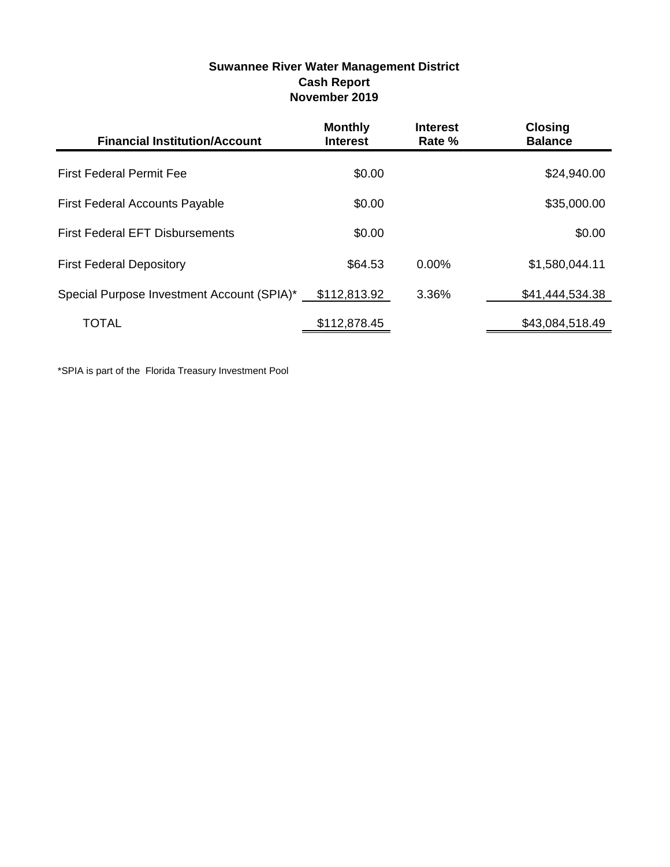| <b>Suwannee River Water Management District</b> |
|-------------------------------------------------|
| <b>Cash Report</b>                              |
| November 2019                                   |

| <b>Financial Institution/Account</b>       | <b>Monthly</b><br><b>Interest</b> | <b>Interest</b><br>Rate % | <b>Closing</b><br><b>Balance</b> |
|--------------------------------------------|-----------------------------------|---------------------------|----------------------------------|
| <b>First Federal Permit Fee</b>            | \$0.00                            |                           | \$24,940.00                      |
| <b>First Federal Accounts Payable</b>      | \$0.00                            |                           | \$35,000.00                      |
| <b>First Federal EFT Disbursements</b>     | \$0.00                            |                           | \$0.00                           |
| <b>First Federal Depository</b>            | \$64.53                           | $0.00\%$                  | \$1,580,044.11                   |
| Special Purpose Investment Account (SPIA)* | \$112,813.92                      | 3.36%                     | \$41,444,534.38                  |
| TOTAL                                      | \$112,878.45                      |                           | \$43,084,518.49                  |

\*SPIA is part of the Florida Treasury Investment Pool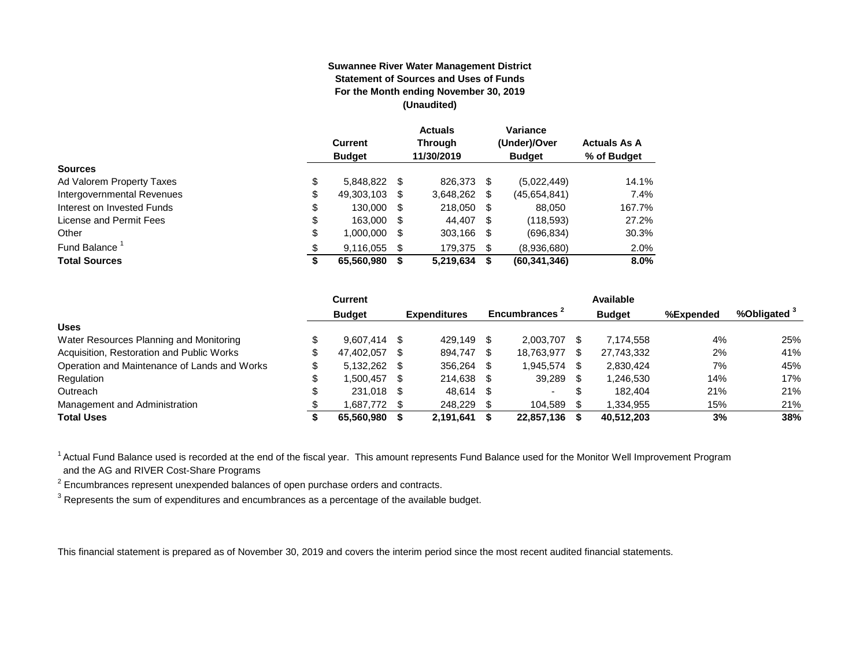#### **Suwannee River Water Management District Statement of Sources and Uses of Funds For the Month ending November 30, 2019 (Unaudited)**

|                                  | <b>Current</b><br><b>Budget</b> |      | <b>Actuals</b><br><b>Through</b><br>11/30/2019 |     | Variance<br>(Under)/Over<br><b>Budget</b> | <b>Actuals As A</b><br>% of Budget |
|----------------------------------|---------------------------------|------|------------------------------------------------|-----|-------------------------------------------|------------------------------------|
| <b>Sources</b>                   |                                 |      |                                                |     |                                           |                                    |
| \$<br>Ad Valorem Property Taxes  | 5,848,822                       | - \$ | 826,373                                        | S   | (5,022,449)                               | 14.1%                              |
| \$<br>Intergovernmental Revenues | 49,303,103                      | \$.  | 3,648,262                                      | S   | (45,654,841)                              | 7.4%                               |
| \$<br>Interest on Invested Funds | 130.000                         | - \$ | 218,050                                        | \$  | 88.050                                    | 167.7%                             |
| \$<br>License and Permit Fees    | 163,000                         | - \$ | 44.407                                         | -\$ | (118, 593)                                | 27.2%                              |
| \$<br>Other                      | 1,000,000                       | S    | 303,166                                        | -\$ | (696, 834)                                | 30.3%                              |
| Fund Balance <sup>1</sup><br>\$  | 9,116,055                       | S    | 179.375                                        | \$  | (8,936,680)                               | 2.0%                               |
| <b>Total Sources</b><br>₽        | 65,560,980                      |      | 5,219,634                                      | S   | (60, 341, 346)                            | 8.0%                               |

|                                              | Current        |      |                     |                | Available        |           |                         |
|----------------------------------------------|----------------|------|---------------------|----------------|------------------|-----------|-------------------------|
|                                              | <b>Budget</b>  |      | <b>Expenditures</b> | Encumbrances 1 | <b>Budget</b>    | %Expended | %Obligated <sup>3</sup> |
| <b>Uses</b>                                  |                |      |                     |                |                  |           |                         |
| Water Resources Planning and Monitoring      | $9.607.414$ \$ |      | 429.149             | 2.003.707      | 7.174.558        | 4%        | 25%                     |
| Acquisition, Restoration and Public Works    | 47.402.057     | - \$ | 894.747             | 18,763,977     | \$<br>27,743,332 | 2%        | 41%                     |
| Operation and Maintenance of Lands and Works | $5.132.262$ \$ |      | 356.264             | 1.945.574      | 2.830.424        | 7%        | 45%                     |
| Regulation                                   | 1.500.457      | - \$ | 214.638 \$          | 39,289         | 1,246,530        | 14%       | 17%                     |
| Outreach                                     | 231.018 \$     |      | 48.614              | -              | \$<br>182.404    | 21%       | 21%                     |
| Management and Administration                | 1,687,772 \$   |      | 248.229             | 104,589        | 1,334,955        | 15%       | 21%                     |
| <b>Total Uses</b>                            | 65,560,980     |      | 2,191,641           | 22,857,136     | 40,512,203       | 3%        | 38%                     |

<sup>1</sup> Actual Fund Balance used is recorded at the end of the fiscal year. This amount represents Fund Balance used for the Monitor Well Improvement Program and the AG and RIVER Cost-Share Programs

 $2$  Encumbrances represent unexpended balances of open purchase orders and contracts.

 $^3$  Represents the sum of expenditures and encumbrances as a percentage of the available budget.

This financial statement is prepared as of November 30, 2019 and covers the interim period since the most recent audited financial statements.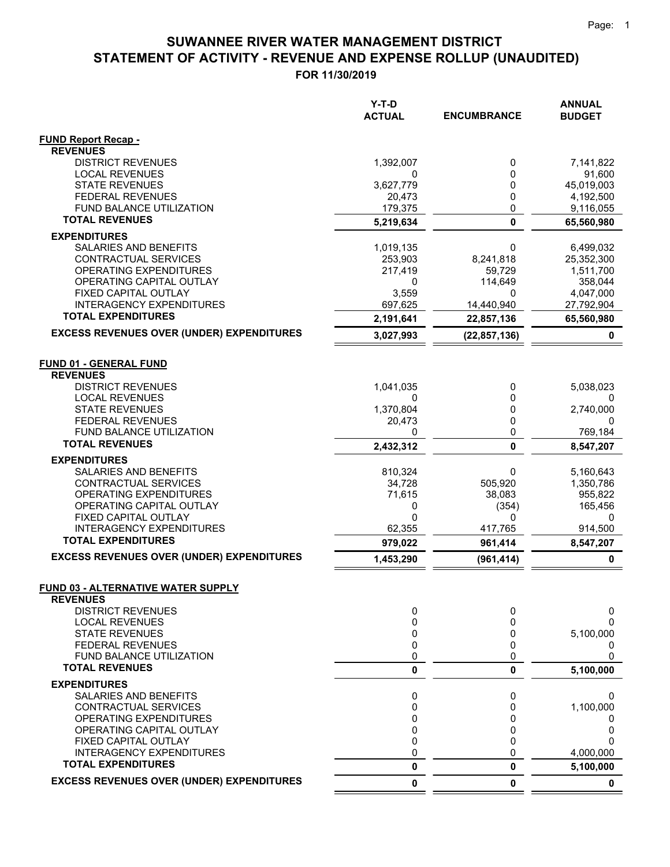$=$   $=$ 

## **STATEMENT OF ACTIVITY - REVENUE AND EXPENSE ROLLUP (UNAUDITED) SUWANNEE RIVER WATER MANAGEMENT DISTRICT**

|                                                     | Y-T-D<br><b>ACTUAL</b> | <b>ENCUMBRANCE</b> | <b>ANNUAL</b><br><b>BUDGET</b> |
|-----------------------------------------------------|------------------------|--------------------|--------------------------------|
| <b>FUND Report Recap -</b>                          |                        |                    |                                |
| <b>REVENUES</b>                                     |                        |                    |                                |
| <b>DISTRICT REVENUES</b>                            | 1,392,007              | 0                  | 7,141,822                      |
| <b>LOCAL REVENUES</b>                               | 0                      | 0                  | 91,600                         |
| <b>STATE REVENUES</b>                               | 3,627,779              | 0<br>0             | 45,019,003                     |
| <b>FEDERAL REVENUES</b><br>FUND BALANCE UTILIZATION | 20,473<br>179,375      | $\mathbf 0$        | 4,192,500<br>9,116,055         |
| <b>TOTAL REVENUES</b>                               | 5,219,634              | $\mathbf 0$        | 65,560,980                     |
| <b>EXPENDITURES</b>                                 |                        |                    |                                |
| SALARIES AND BENEFITS                               | 1,019,135              | 0                  | 6,499,032                      |
| CONTRACTUAL SERVICES                                | 253,903                | 8,241,818          | 25,352,300                     |
| OPERATING EXPENDITURES                              | 217,419                | 59,729             | 1,511,700                      |
| OPERATING CAPITAL OUTLAY                            | 0                      | 114,649            | 358,044                        |
| FIXED CAPITAL OUTLAY                                | 3,559                  | 0                  | 4,047,000                      |
| INTERAGENCY EXPENDITURES                            | 697,625                | 14,440,940         | 27,792,904                     |
| <b>TOTAL EXPENDITURES</b>                           | 2,191,641              | 22,857,136         | 65,560,980                     |
| <b>EXCESS REVENUES OVER (UNDER) EXPENDITURES</b>    | 3,027,993              | (22, 857, 136)     | 0                              |
| <b>FUND 01 - GENERAL FUND</b>                       |                        |                    |                                |
| <b>REVENUES</b>                                     |                        |                    |                                |
| <b>DISTRICT REVENUES</b>                            | 1,041,035              | 0                  | 5,038,023                      |
| <b>LOCAL REVENUES</b>                               | 0                      | 0                  |                                |
| <b>STATE REVENUES</b>                               | 1,370,804              | 0                  | 2,740,000                      |
| <b>FEDERAL REVENUES</b>                             | 20,473                 | 0                  | 0                              |
| <b>FUND BALANCE UTILIZATION</b>                     | 0                      | 0                  | 769,184                        |
| <b>TOTAL REVENUES</b>                               | 2,432,312              | $\mathbf 0$        | 8,547,207                      |
| <b>EXPENDITURES</b>                                 |                        |                    |                                |
| SALARIES AND BENEFITS                               | 810,324                | 0                  | 5,160,643                      |
| CONTRACTUAL SERVICES                                | 34,728                 | 505,920            | 1,350,786                      |
| OPERATING EXPENDITURES                              | 71,615                 | 38,083             | 955,822                        |
| OPERATING CAPITAL OUTLAY<br>FIXED CAPITAL OUTLAY    | 0<br>0                 | (354)<br>0         | 165,456<br>0                   |
| <b>INTERAGENCY EXPENDITURES</b>                     | 62,355                 | 417,765            | 914,500                        |
| <b>TOTAL EXPENDITURES</b>                           | 979,022                | 961,414            | 8,547,207                      |
| <b>EXCESS REVENUES OVER (UNDER) EXPENDITURES</b>    | 1,453,290              | (961, 414)         | 0                              |
| <b>FUND 03 - ALTERNATIVE WATER SUPPLY</b>           |                        |                    |                                |
| <b>REVENUES</b>                                     |                        |                    |                                |
| <b>DISTRICT REVENUES</b>                            | 0                      | 0                  | 0                              |
| <b>LOCAL REVENUES</b>                               | 0                      | 0                  | 0                              |
| <b>STATE REVENUES</b>                               | 0                      | 0                  | 5,100,000                      |
| <b>FEDERAL REVENUES</b>                             | 0                      | 0                  | 0                              |
| FUND BALANCE UTILIZATION                            | 0                      | 0                  | 0                              |
| <b>TOTAL REVENUES</b>                               | 0                      | 0                  | 5,100,000                      |
| <b>EXPENDITURES</b>                                 |                        |                    |                                |
| SALARIES AND BENEFITS                               | 0                      | 0                  | 0                              |
| CONTRACTUAL SERVICES<br>OPERATING EXPENDITURES      | 0                      | 0<br>0             | 1,100,000                      |
| OPERATING CAPITAL OUTLAY                            | 0<br>0                 | 0                  | 0<br>0                         |
| FIXED CAPITAL OUTLAY                                | 0                      | 0                  | 0                              |
| <b>INTERAGENCY EXPENDITURES</b>                     | 0                      | 0                  | 4,000,000                      |
| <b>TOTAL EXPENDITURES</b>                           | 0                      | 0                  | 5,100,000                      |
| <b>EXCESS REVENUES OVER (UNDER) EXPENDITURES</b>    | 0                      | $\mathbf 0$        | 0                              |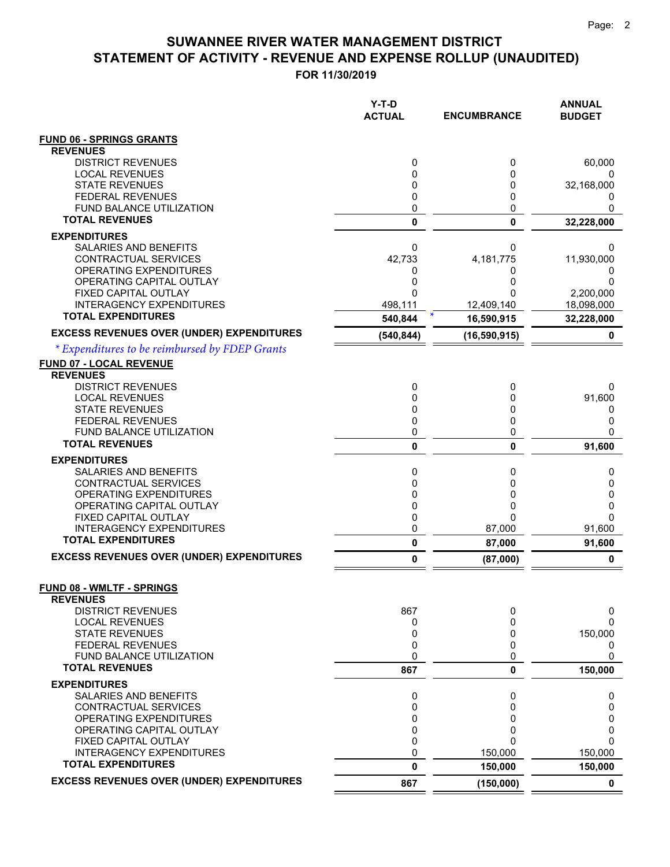|                                                          | Y-T-D<br><b>ACTUAL</b> | <b>ENCUMBRANCE</b> | <b>ANNUAL</b><br><b>BUDGET</b> |
|----------------------------------------------------------|------------------------|--------------------|--------------------------------|
| <b>FUND 06 - SPRINGS GRANTS</b>                          |                        |                    |                                |
| <b>REVENUES</b>                                          |                        |                    |                                |
| <b>DISTRICT REVENUES</b>                                 | 0                      | 0                  | 60,000                         |
| <b>LOCAL REVENUES</b><br><b>STATE REVENUES</b>           | 0<br>0                 | 0<br>0             | 32,168,000                     |
| <b>FEDERAL REVENUES</b>                                  | 0                      | 0                  | $^{(1)}$                       |
| FUND BALANCE UTILIZATION                                 | 0                      | 0                  | 0                              |
| <b>TOTAL REVENUES</b>                                    | 0                      | $\mathbf{0}$       | 32,228,000                     |
| <b>EXPENDITURES</b>                                      |                        |                    |                                |
| SALARIES AND BENEFITS                                    | 0                      | 0                  | 0                              |
| CONTRACTUAL SERVICES                                     | 42,733                 | 4,181,775          | 11,930,000                     |
| OPERATING EXPENDITURES<br>OPERATING CAPITAL OUTLAY       | 0<br>0                 | 0<br>0             | 0<br>0                         |
| FIXED CAPITAL OUTLAY                                     | 0                      | ŋ                  | 2,200,000                      |
| <b>INTERAGENCY EXPENDITURES</b>                          | 498,111                | 12,409,140         | 18,098,000                     |
| <b>TOTAL EXPENDITURES</b>                                | 540,844                | 16,590,915         | 32,228,000                     |
| <b>EXCESS REVENUES OVER (UNDER) EXPENDITURES</b>         | (540, 844)             | (16, 590, 915)     | 0                              |
| * Expenditures to be reimbursed by FDEP Grants           |                        |                    |                                |
| FUND 07 - LOCAL REVENUE                                  |                        |                    |                                |
| <b>REVENUES</b>                                          |                        |                    |                                |
| <b>DISTRICT REVENUES</b>                                 | 0                      | 0                  | 0                              |
| <b>LOCAL REVENUES</b><br><b>STATE REVENUES</b>           | 0<br>0                 | 0<br>0             | 91,600<br>0                    |
| <b>FEDERAL REVENUES</b>                                  | 0                      | 0                  | 0                              |
| <b>FUND BALANCE UTILIZATION</b>                          | 0                      | 0                  | 0                              |
| <b>TOTAL REVENUES</b>                                    | 0                      | 0                  | 91,600                         |
| <b>EXPENDITURES</b>                                      |                        |                    |                                |
| SALARIES AND BENEFITS                                    | 0                      | 0                  | 0                              |
| CONTRACTUAL SERVICES                                     | 0                      | 0                  | 0                              |
| OPERATING EXPENDITURES<br>OPERATING CAPITAL OUTLAY       | 0<br>0                 | 0<br>0             | 0<br>0                         |
| FIXED CAPITAL OUTLAY                                     | 0                      | 0                  | 0                              |
| <b>INTERAGENCY EXPENDITURES</b>                          | 0                      | 87,000             | 91,600                         |
| <b>TOTAL EXPENDITURES</b>                                | $\pmb{0}$              | 87,000             | 91,600                         |
| <b>EXCESS REVENUES OVER (UNDER) EXPENDITURES</b>         | 0                      | (87,000)           | 0                              |
|                                                          |                        |                    |                                |
| <b>FUND 08 - WMLTF - SPRINGS</b>                         |                        |                    |                                |
| <b>REVENUES</b><br><b>DISTRICT REVENUES</b>              | 867                    | 0                  | 0                              |
| <b>LOCAL REVENUES</b>                                    | 0                      | 0                  | 0                              |
| <b>STATE REVENUES</b>                                    | 0                      | 0                  | 150,000                        |
| <b>FEDERAL REVENUES</b>                                  | 0                      | 0                  | 0                              |
| <b>FUND BALANCE UTILIZATION</b><br><b>TOTAL REVENUES</b> | 0                      | 0                  | 0                              |
|                                                          | 867                    | 0                  | 150,000                        |
| <b>EXPENDITURES</b>                                      |                        |                    |                                |
| SALARIES AND BENEFITS<br>CONTRACTUAL SERVICES            | 0<br>0                 | 0<br>0             | 0<br>0                         |
| OPERATING EXPENDITURES                                   | 0                      | 0                  | 0                              |
| OPERATING CAPITAL OUTLAY                                 | 0                      | 0                  | 0                              |
| FIXED CAPITAL OUTLAY                                     | 0                      | ი                  | 0                              |
| <b>INTERAGENCY EXPENDITURES</b>                          | 0                      | 150,000            | 150,000                        |
| <b>TOTAL EXPENDITURES</b>                                | 0                      | 150,000            | 150,000                        |
| <b>EXCESS REVENUES OVER (UNDER) EXPENDITURES</b>         | 867                    | (150,000)          | $\mathbf 0$                    |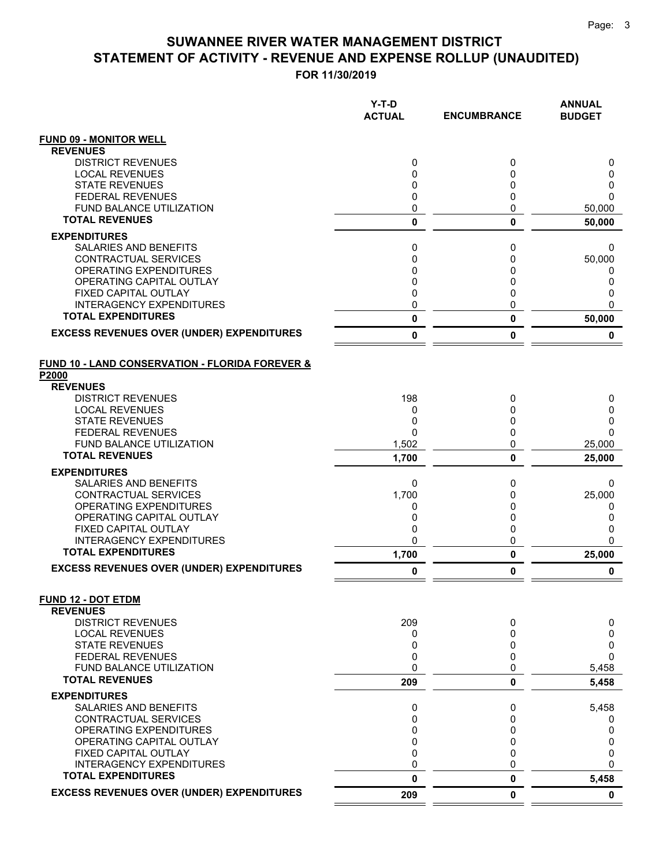|                                                              | Y-T-D<br><b>ACTUAL</b> | <b>ENCUMBRANCE</b> | <b>ANNUAL</b><br><b>BUDGET</b> |
|--------------------------------------------------------------|------------------------|--------------------|--------------------------------|
| <b>FUND 09 - MONITOR WELL</b>                                |                        |                    |                                |
| <b>REVENUES</b>                                              |                        |                    |                                |
| <b>DISTRICT REVENUES</b>                                     | 0                      | 0                  | 0                              |
| <b>LOCAL REVENUES</b>                                        | 0                      | 0                  | 0                              |
| <b>STATE REVENUES</b><br><b>FEDERAL REVENUES</b>             | 0                      | 0                  | 0<br>$\Omega$                  |
| <b>FUND BALANCE UTILIZATION</b>                              | 0<br>0                 | 0<br>0             | 50,000                         |
| <b>TOTAL REVENUES</b>                                        | $\mathbf 0$            | 0                  | 50,000                         |
| <b>EXPENDITURES</b>                                          |                        |                    |                                |
| <b>SALARIES AND BENEFITS</b>                                 | 0                      | 0                  | 0                              |
| CONTRACTUAL SERVICES                                         | 0                      | 0                  | 50,000                         |
| OPERATING EXPENDITURES                                       | 0                      | 0                  | 0                              |
| OPERATING CAPITAL OUTLAY                                     | 0                      | 0                  | 0                              |
| FIXED CAPITAL OUTLAY                                         | 0                      | 0                  | 0                              |
| <b>INTERAGENCY EXPENDITURES</b>                              | 0                      | 0                  | $\Omega$                       |
| <b>TOTAL EXPENDITURES</b>                                    | 0                      | 0                  | 50,000                         |
| <b>EXCESS REVENUES OVER (UNDER) EXPENDITURES</b>             | 0                      | 0                  | 0                              |
| FUND 10 - LAND CONSERVATION - FLORIDA FOREVER &<br>P2000     |                        |                    |                                |
| <b>REVENUES</b>                                              |                        |                    |                                |
| <b>DISTRICT REVENUES</b>                                     | 198                    | 0                  | 0                              |
| <b>LOCAL REVENUES</b><br><b>STATE REVENUES</b>               | 0<br>0                 | 0                  | 0                              |
| <b>FEDERAL REVENUES</b>                                      | $\Omega$               | 0<br>0             | 0<br>$\Omega$                  |
| <b>FUND BALANCE UTILIZATION</b>                              | 1,502                  | 0                  | 25,000                         |
| <b>TOTAL REVENUES</b>                                        | 1,700                  | 0                  | 25,000                         |
| <b>EXPENDITURES</b>                                          |                        |                    |                                |
| SALARIES AND BENEFITS                                        | 0                      | 0                  | 0                              |
| CONTRACTUAL SERVICES                                         | 1,700                  | 0                  | 25,000                         |
| <b>OPERATING EXPENDITURES</b>                                | 0                      | 0                  | 0                              |
| OPERATING CAPITAL OUTLAY                                     | 0                      | 0                  | 0                              |
| FIXED CAPITAL OUTLAY                                         | 0                      | 0                  | 0                              |
| <b>INTERAGENCY EXPENDITURES</b><br><b>TOTAL EXPENDITURES</b> | 0<br>1,700             | 0<br>0             | $\mathbf{0}$<br>25,000         |
| <b>EXCESS REVENUES OVER (UNDER) EXPENDITURES</b>             | 0                      | 0                  | 0                              |
| <b>FUND 12 - DOT ETDM</b>                                    |                        |                    |                                |
| <b>REVENUES</b>                                              |                        |                    |                                |
| <b>DISTRICT REVENUES</b>                                     | 209                    | 0                  | 0                              |
| <b>LOCAL REVENUES</b>                                        | 0                      | 0                  | 0                              |
| <b>STATE REVENUES</b>                                        | 0                      | 0                  | 0                              |
| <b>FEDERAL REVENUES</b>                                      | 0                      | 0                  | $\Omega$                       |
| <b>FUND BALANCE UTILIZATION</b><br><b>TOTAL REVENUES</b>     | 0<br>209               | 0<br>0             | 5,458<br>5,458                 |
| <b>EXPENDITURES</b>                                          |                        |                    |                                |
| SALARIES AND BENEFITS                                        | 0                      | 0                  | 5,458                          |
| CONTRACTUAL SERVICES                                         | 0                      | 0                  | 0                              |
| OPERATING EXPENDITURES                                       | 0                      | 0                  | 0                              |
| OPERATING CAPITAL OUTLAY                                     | 0                      | 0                  | 0                              |
| FIXED CAPITAL OUTLAY                                         | 0                      | 0                  | 0                              |
| <b>INTERAGENCY EXPENDITURES</b>                              | 0                      | 0                  | $\Omega$                       |
| <b>TOTAL EXPENDITURES</b>                                    | 0                      | 0                  | 5,458                          |
| <b>EXCESS REVENUES OVER (UNDER) EXPENDITURES</b>             | 209                    | 0                  | $\mathbf 0$                    |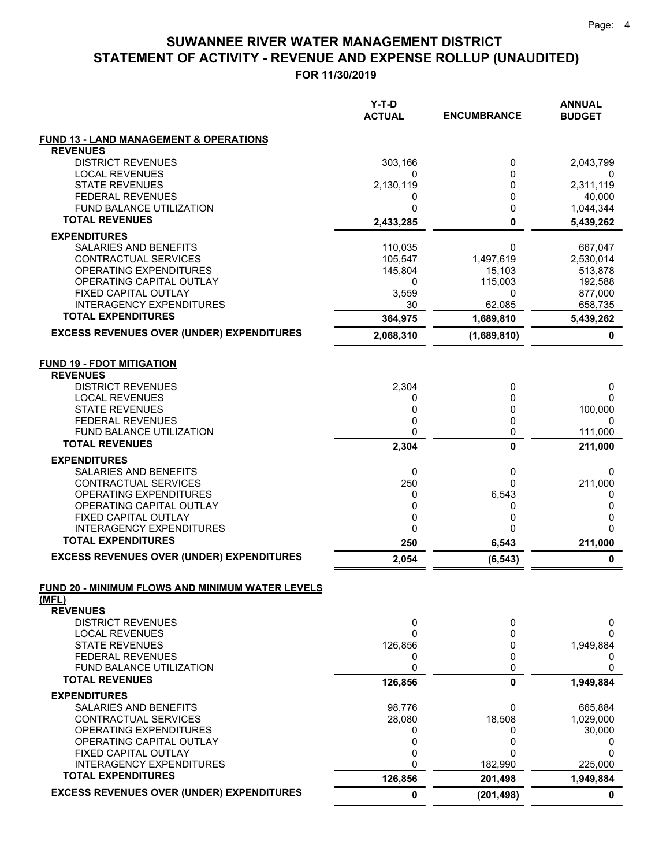|                                                         | Y-T-D<br><b>ACTUAL</b> | <b>ENCUMBRANCE</b> | <b>ANNUAL</b><br><b>BUDGET</b> |
|---------------------------------------------------------|------------------------|--------------------|--------------------------------|
| <b>FUND 13 - LAND MANAGEMENT &amp; OPERATIONS</b>       |                        |                    |                                |
| <b>REVENUES</b>                                         |                        |                    |                                |
| <b>DISTRICT REVENUES</b>                                | 303,166                | 0                  | 2,043,799                      |
| <b>LOCAL REVENUES</b><br><b>STATE REVENUES</b>          | 0<br>2,130,119         | 0<br>0             | 2,311,119                      |
| <b>FEDERAL REVENUES</b>                                 | 0                      | 0                  | 40,000                         |
| <b>FUND BALANCE UTILIZATION</b>                         | 0                      | 0                  | 1,044,344                      |
| <b>TOTAL REVENUES</b>                                   | 2,433,285              | $\mathbf 0$        | 5,439,262                      |
| <b>EXPENDITURES</b>                                     |                        |                    |                                |
| SALARIES AND BENEFITS                                   | 110,035                | 0                  | 667,047                        |
| <b>CONTRACTUAL SERVICES</b>                             | 105,547                | 1,497,619          | 2,530,014                      |
| OPERATING EXPENDITURES                                  | 145,804                | 15,103             | 513,878                        |
| OPERATING CAPITAL OUTLAY                                | 0                      | 115,003            | 192,588                        |
| FIXED CAPITAL OUTLAY<br><b>INTERAGENCY EXPENDITURES</b> | 3,559<br>30            | 0<br>62,085        | 877,000<br>658,735             |
| <b>TOTAL EXPENDITURES</b>                               | 364,975                | 1,689,810          | 5,439,262                      |
| <b>EXCESS REVENUES OVER (UNDER) EXPENDITURES</b>        | 2,068,310              | (1,689,810)        | 0                              |
| <b>FUND 19 - FDOT MITIGATION</b>                        |                        |                    |                                |
| <b>REVENUES</b>                                         |                        |                    |                                |
| <b>DISTRICT REVENUES</b>                                | 2,304                  | 0                  | 0                              |
| <b>LOCAL REVENUES</b>                                   | 0                      | 0                  | 0                              |
| <b>STATE REVENUES</b><br><b>FEDERAL REVENUES</b>        | 0                      | 0                  | 100,000                        |
| FUND BALANCE UTILIZATION                                | 0<br>0                 | 0<br>0             | 0<br>111,000                   |
| <b>TOTAL REVENUES</b>                                   | 2,304                  | 0                  | 211,000                        |
| <b>EXPENDITURES</b>                                     |                        |                    |                                |
| SALARIES AND BENEFITS                                   | 0                      | 0                  | 0                              |
| CONTRACTUAL SERVICES                                    | 250                    | 0                  | 211,000                        |
| OPERATING EXPENDITURES                                  | 0                      | 6,543              | 0                              |
| OPERATING CAPITAL OUTLAY                                | 0                      | 0                  | 0                              |
| FIXED CAPITAL OUTLAY<br><b>INTERAGENCY EXPENDITURES</b> | 0<br>0                 | 0<br>$\Omega$      | 0<br>0                         |
| <b>TOTAL EXPENDITURES</b>                               | 250                    | 6,543              | 211,000                        |
| <b>EXCESS REVENUES OVER (UNDER) EXPENDITURES</b>        | 2,054                  | (6, 543)           | 0                              |
| FUND 20 - MINIMUM FLOWS AND MINIMUM WATER LEVELS        |                        |                    |                                |
| (MFL)                                                   |                        |                    |                                |
| <b>REVENUES</b>                                         |                        |                    |                                |
| <b>DISTRICT REVENUES</b>                                | 0                      | 0                  | 0                              |
| <b>LOCAL REVENUES</b><br><b>STATE REVENUES</b>          | 0<br>126,856           | 0<br>0             | 0                              |
| <b>FEDERAL REVENUES</b>                                 | 0                      | 0                  | 1,949,884<br>0                 |
| FUND BALANCE UTILIZATION                                | 0                      | 0                  | 0                              |
| <b>TOTAL REVENUES</b>                                   | 126,856                | 0                  | 1,949,884                      |
| <b>EXPENDITURES</b>                                     |                        |                    |                                |
| SALARIES AND BENEFITS                                   | 98,776                 | 0                  | 665,884                        |
| CONTRACTUAL SERVICES                                    | 28,080                 | 18,508             | 1,029,000                      |
| OPERATING EXPENDITURES                                  | 0                      | 0                  | 30,000                         |
| OPERATING CAPITAL OUTLAY<br>FIXED CAPITAL OUTLAY        | 0<br>0                 | 0<br>0             | 0<br>0                         |
| <b>INTERAGENCY EXPENDITURES</b>                         | 0                      | 182,990            | 225,000                        |
| <b>TOTAL EXPENDITURES</b>                               | 126,856                | 201,498            | 1,949,884                      |
| <b>EXCESS REVENUES OVER (UNDER) EXPENDITURES</b>        | 0                      | (201, 498)         | 0                              |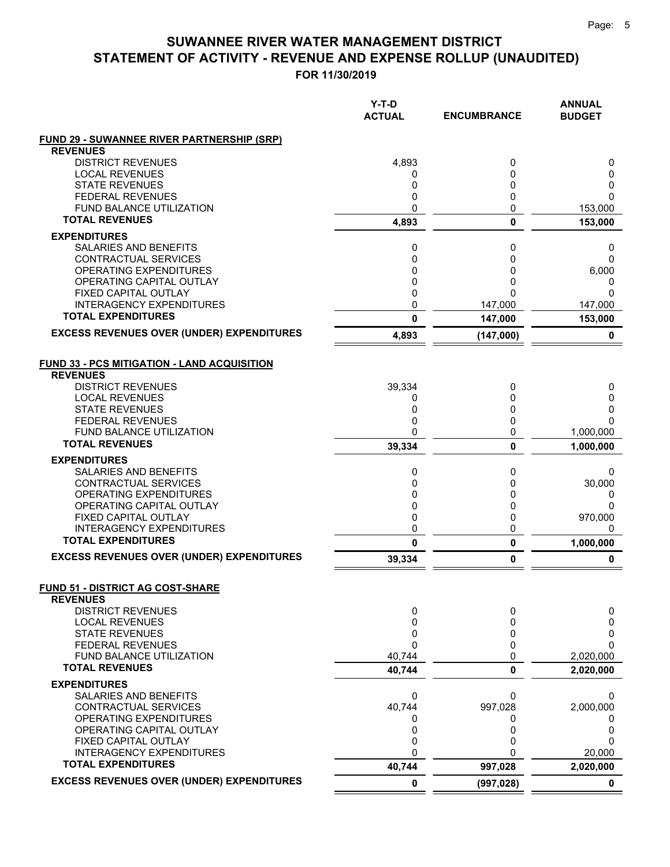|                                                                      | Y-T-D<br><b>ACTUAL</b> | <b>ENCUMBRANCE</b> | <b>ANNUAL</b><br><b>BUDGET</b> |
|----------------------------------------------------------------------|------------------------|--------------------|--------------------------------|
| <b>FUND 29 - SUWANNEE RIVER PARTNERSHIP (SRP)</b><br><b>REVENUES</b> |                        |                    |                                |
| <b>DISTRICT REVENUES</b>                                             | 4.893                  | 0                  | 0                              |
| <b>LOCAL REVENUES</b>                                                | 0                      | 0                  | 0                              |
| <b>STATE REVENUES</b>                                                | 0                      | 0                  | 0                              |
| <b>FEDERAL REVENUES</b>                                              | 0                      | 0                  | 0                              |
| FUND BALANCE UTILIZATION                                             | 0                      | 0                  | 153,000                        |
| <b>TOTAL REVENUES</b>                                                | 4,893                  | $\mathbf 0$        | 153,000                        |
| <b>EXPENDITURES</b>                                                  |                        |                    |                                |
| SALARIES AND BENEFITS                                                | 0                      | 0                  | 0                              |
| <b>CONTRACTUAL SERVICES</b>                                          | 0                      | 0                  | $\Omega$                       |
| OPERATING EXPENDITURES                                               | 0                      | 0                  | 6,000                          |
| OPERATING CAPITAL OUTLAY                                             | 0                      | 0                  | 0                              |
| FIXED CAPITAL OUTLAY                                                 | 0                      | 0                  | 0                              |
| <b>INTERAGENCY EXPENDITURES</b><br><b>TOTAL EXPENDITURES</b>         | 0                      | 147,000            | 147,000                        |
|                                                                      | 0                      | 147,000            | 153,000                        |
| <b>EXCESS REVENUES OVER (UNDER) EXPENDITURES</b>                     | 4,893                  | (147,000)          | 0                              |
| <b>FUND 33 - PCS MITIGATION - LAND ACQUISITION</b>                   |                        |                    |                                |
| <b>REVENUES</b>                                                      |                        |                    |                                |
| <b>DISTRICT REVENUES</b>                                             | 39,334                 | 0                  | 0                              |
| <b>LOCAL REVENUES</b>                                                | 0                      | 0                  | 0                              |
| <b>STATE REVENUES</b>                                                | 0                      | 0                  | 0                              |
| <b>FEDERAL REVENUES</b>                                              | 0                      | 0                  | $\Omega$                       |
| <b>FUND BALANCE UTILIZATION</b>                                      | 0                      | 0                  | 1,000,000                      |
| <b>TOTAL REVENUES</b>                                                | 39,334                 | 0                  | 1,000,000                      |
| <b>EXPENDITURES</b>                                                  |                        |                    |                                |
| <b>SALARIES AND BENEFITS</b>                                         | 0                      | 0                  | 0                              |
| CONTRACTUAL SERVICES                                                 | 0                      | 0                  | 30,000                         |
| OPERATING EXPENDITURES                                               | 0                      | 0                  | 0                              |
| OPERATING CAPITAL OUTLAY                                             | 0<br>0                 | 0                  | 0                              |
| FIXED CAPITAL OUTLAY<br><b>INTERAGENCY EXPENDITURES</b>              | 0                      | 0<br>0             | 970,000<br>0                   |
| <b>TOTAL EXPENDITURES</b>                                            | 0                      | 0                  | 1,000,000                      |
| <b>EXCESS REVENUES OVER (UNDER) EXPENDITURES</b>                     | 39,334                 | 0                  | 0                              |
|                                                                      |                        |                    |                                |
| <b>FUND 51 - DISTRICT AG COST-SHARE</b><br><b>REVENUES</b>           |                        |                    |                                |
| <b>DISTRICT REVENUES</b>                                             | 0                      | 0                  | 0                              |
| <b>LOCAL REVENUES</b>                                                | 0                      | 0                  | 0                              |
| <b>STATE REVENUES</b>                                                | 0                      | 0                  | 0                              |
| <b>FEDERAL REVENUES</b>                                              | 0                      | 0                  | 0                              |
| FUND BALANCE UTILIZATION                                             | 40,744                 | 0                  | 2,020,000                      |
| <b>TOTAL REVENUES</b>                                                | 40,744                 | 0                  | 2,020,000                      |
| <b>EXPENDITURES</b>                                                  |                        |                    |                                |
| SALARIES AND BENEFITS                                                | 0                      | 0                  | 0                              |
| CONTRACTUAL SERVICES                                                 | 40,744                 | 997,028            | 2,000,000                      |
| OPERATING EXPENDITURES                                               | 0                      | 0                  | O                              |
| OPERATING CAPITAL OUTLAY                                             | 0                      | 0                  | 0                              |
| FIXED CAPITAL OUTLAY                                                 | 0                      | 0                  | 0                              |
| <b>INTERAGENCY EXPENDITURES</b><br><b>TOTAL EXPENDITURES</b>         | 0                      | 0                  | 20,000                         |
|                                                                      | 40,744                 | 997,028            | 2,020,000                      |
| <b>EXCESS REVENUES OVER (UNDER) EXPENDITURES</b>                     | 0                      | (997, 028)         | $\mathbf 0$                    |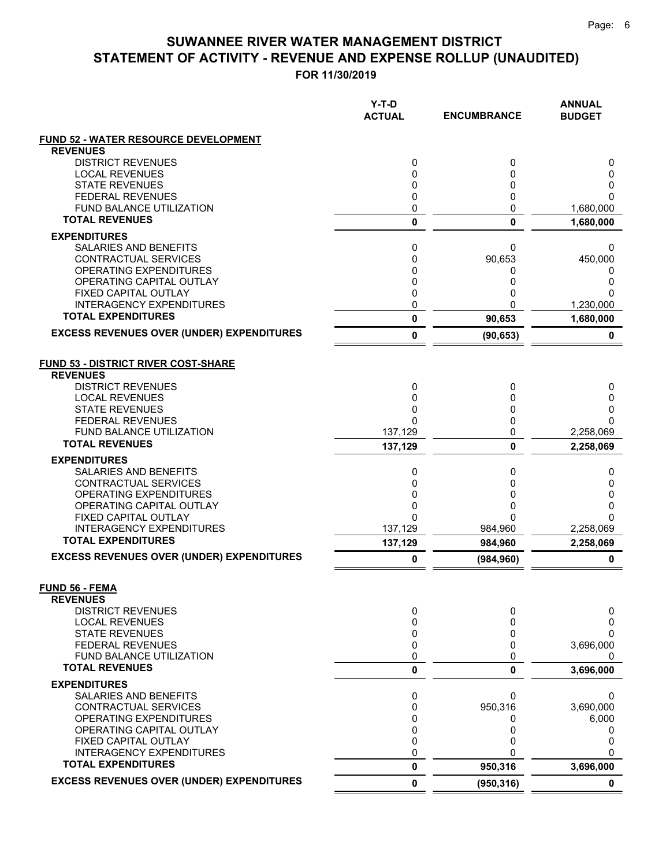|                                                         | $Y-T-D$<br><b>ACTUAL</b> | <b>ENCUMBRANCE</b> | <b>ANNUAL</b><br><b>BUDGET</b> |
|---------------------------------------------------------|--------------------------|--------------------|--------------------------------|
| <b>FUND 52 - WATER RESOURCE DEVELOPMENT</b>             |                          |                    |                                |
| <b>REVENUES</b>                                         |                          |                    |                                |
| <b>DISTRICT REVENUES</b>                                | 0                        | 0                  | 0                              |
| <b>LOCAL REVENUES</b><br><b>STATE REVENUES</b>          | 0                        | 0<br>0             | 0<br>0                         |
| <b>FEDERAL REVENUES</b>                                 | 0<br>0                   | 0                  | 0                              |
| <b>FUND BALANCE UTILIZATION</b>                         | 0                        | 0                  | 1,680,000                      |
| <b>TOTAL REVENUES</b>                                   | $\pmb{0}$                | 0                  | 1,680,000                      |
| <b>EXPENDITURES</b>                                     |                          |                    |                                |
| <b>SALARIES AND BENEFITS</b>                            | 0                        | 0                  | 0                              |
| CONTRACTUAL SERVICES                                    | 0                        | 90,653             | 450,000                        |
| OPERATING EXPENDITURES                                  | 0                        | 0                  | 0                              |
| OPERATING CAPITAL OUTLAY                                | 0<br>0                   | 0<br>0             | 0<br>0                         |
| FIXED CAPITAL OUTLAY<br><b>INTERAGENCY EXPENDITURES</b> | 0                        | 0                  | 1,230,000                      |
| <b>TOTAL EXPENDITURES</b>                               | 0                        | 90,653             | 1,680,000                      |
| <b>EXCESS REVENUES OVER (UNDER) EXPENDITURES</b>        | 0                        | (90, 653)          | 0                              |
|                                                         |                          |                    |                                |
| <b>FUND 53 - DISTRICT RIVER COST-SHARE</b>              |                          |                    |                                |
| <b>REVENUES</b>                                         |                          |                    |                                |
| <b>DISTRICT REVENUES</b>                                | 0                        | 0                  | 0                              |
| <b>LOCAL REVENUES</b><br><b>STATE REVENUES</b>          | 0<br>0                   | 0<br>0             | 0<br>0                         |
| <b>FEDERAL REVENUES</b>                                 | 0                        | 0                  | $\Omega$                       |
| <b>FUND BALANCE UTILIZATION</b>                         | 137,129                  | 0                  | 2,258,069                      |
| <b>TOTAL REVENUES</b>                                   | 137,129                  | 0                  | 2,258,069                      |
| <b>EXPENDITURES</b>                                     |                          |                    |                                |
| <b>SALARIES AND BENEFITS</b>                            | 0                        | 0                  | 0                              |
| CONTRACTUAL SERVICES                                    | 0                        | 0                  | 0                              |
| OPERATING EXPENDITURES                                  | 0                        | 0                  | 0                              |
| OPERATING CAPITAL OUTLAY<br>FIXED CAPITAL OUTLAY        | 0<br>0                   | 0<br>0             | 0<br>$\Omega$                  |
| <b>INTERAGENCY EXPENDITURES</b>                         | 137,129                  | 984,960            | 2,258,069                      |
| <b>TOTAL EXPENDITURES</b>                               | 137,129                  | 984,960            | 2,258,069                      |
| <b>EXCESS REVENUES OVER (UNDER) EXPENDITURES</b>        | 0                        | (984, 960)         | 0                              |
|                                                         |                          |                    |                                |
| <b>FUND 56 - FEMA</b>                                   |                          |                    |                                |
| <b>REVENUES</b>                                         |                          |                    |                                |
| <b>DISTRICT REVENUES</b><br><b>LOCAL REVENUES</b>       | 0<br>0                   | 0<br>0             | 0<br>0                         |
| <b>STATE REVENUES</b>                                   | 0                        | 0                  | 0                              |
| <b>FEDERAL REVENUES</b>                                 | 0                        | 0                  | 3,696,000                      |
| FUND BALANCE UTILIZATION                                | 0                        | 0                  | 0                              |
| <b>TOTAL REVENUES</b>                                   | 0                        | 0                  | 3,696,000                      |
| <b>EXPENDITURES</b>                                     |                          |                    |                                |
| SALARIES AND BENEFITS                                   | 0                        | 0                  | 0                              |
| CONTRACTUAL SERVICES<br>OPERATING EXPENDITURES          | 0<br>0                   | 950,316            | 3,690,000                      |
| OPERATING CAPITAL OUTLAY                                | 0                        | 0<br>0             | 6,000<br>0                     |
| FIXED CAPITAL OUTLAY                                    | 0                        | 0                  | 0                              |
| <b>INTERAGENCY EXPENDITURES</b>                         | 0                        | O                  | $\Omega$                       |
| <b>TOTAL EXPENDITURES</b>                               | $\pmb{0}$                | 950,316            | 3,696,000                      |
| <b>EXCESS REVENUES OVER (UNDER) EXPENDITURES</b>        | 0                        | (950, 316)         | 0                              |